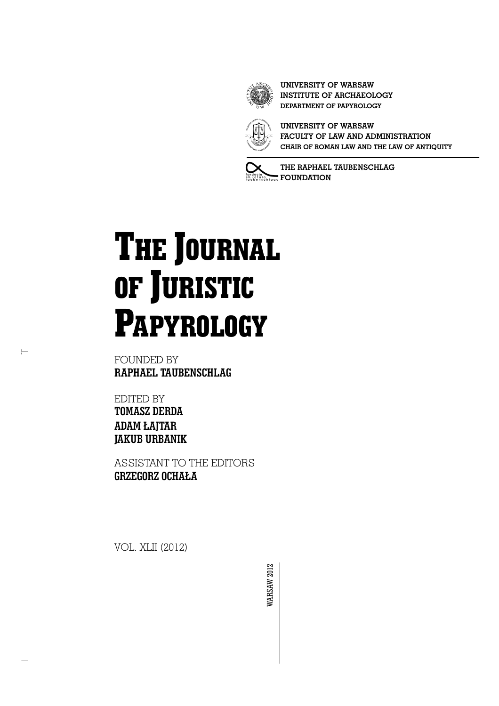

**UNIVERSITY OF WARSAW INSTITUTE OF ARCHAEOLOGY DEPARTMENT OF PAPYROLOGY**



**UNIVERSITY OF WARSAW FACULTY OF LAW AND ADMINISTRATION CHAIR OF ROMAN LAW AND THE LAW OF ANTIQUITY**

**THE RAPHAEL TAUBENSCHLAG FOUNDATION** 

# **THE JOURNAL OF JURISTIC PAPYROLOGY**

FOUNDED BY **RAPHAEL TAUBENSCHLAG**

EDITED BY **TOMASZ DERDA ADAM ŁAJTAR JAKUB URBANIK**

 $\vdash$ 

ASSISTANT TO THE EDITORS **GRZEGORZ OCHAŁA** 

VOL. XLII (2012)

**VARSAW 2012** WARSAW 2012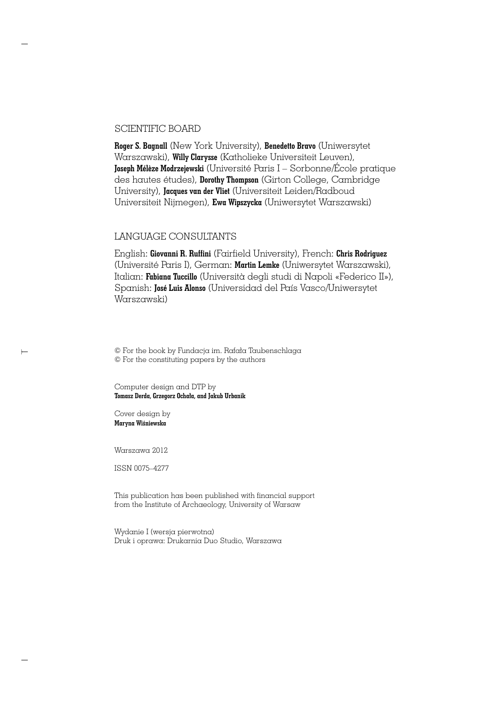#### SCIENTIFIC BOARD

**Roger S. Bagnall** (New York University), **Benedetto Bravo** (Uniwersytet Warszawski), **Willy Clarysse** (Katholieke Universiteit Leuven), **Joseph Mélèze Modrzejewski** (Université Paris I – Sorbonne/École pratique des hautes études), **Dorothy Thompson** (Girton College, Cambridge University), **Jacques van der Vliet** (Universiteit Leiden/Radboud Universiteit Nijmegen), **Ewa Wipszycka** (Uniwersytet Warszawski)

#### LANGUAGE CONSULTANTS

English: **Giovanni R. Ruffini** (Fairfield University), French: **Chris Rodriguez** (Université Paris I), German: **Martin Lemke** (Uniwersytet Warszawski), Italian: **Fabiana Tuccillo** (Universit∫ degli studi di Napoli «Federico II»), Spanish: **José Luis Alonso** (Universidad del País Vasco/Uniwersytet Warszawski)

© For the book by Fundacja im. Rafała Taubenschlaga © For the constituting papers by the authors

Computer design and DTP by **Tomasz Derda, Grzegorz Ocha∏a, and Jakub Urbanik**

Cover design by **Maryna WiÊniewska**

 $\overleftarrow{ }$ 

Warszawa 2012

ISSN 0075–4277

This publication has been published with financial support from the Institute of Archaeology, University of Warsaw

Wydanie I (wersja pierwotna) Druk i oprawa: Drukarnia Duo Studio, Warszawa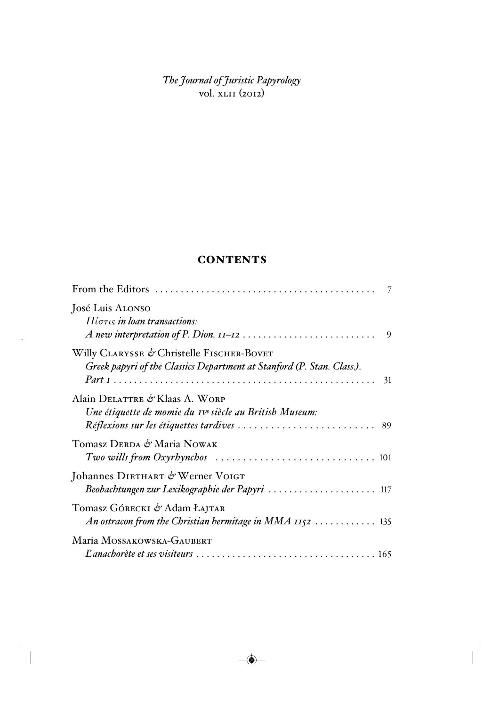*The Journal of Juristic Papyrology* vol. xlii (2012)

## **CONTENTS**

 $\ddot{\phantom{0}}$ 

| José Luis Alonso<br>$\Pi$ ( $\sigma\tau$ is <i>in loan transactions</i> :<br>9                                            |  |
|---------------------------------------------------------------------------------------------------------------------------|--|
| Willy CLARYSSE & Christelle FISCHER-BOVET<br>Greek papyri of the Classics Department at Stanford (P. Stan. Class.).<br>31 |  |
| Alain DELATTRE & Klaas A. WORP<br>Une étiquette de momie du Ive siècle au British Museum:                                 |  |
| Tomasz DERDA & Maria NOWAK                                                                                                |  |
| Johannes DIETHART & Werner VOIGT<br>Beobachtungen zur Lexikographie der Papyri  117                                       |  |
| Tomasz Górecki & Adam Łajtar<br>An ostracon from the Christian hermitage in MMA $1152$ 135                                |  |
| Maria MOSSAKOWSKA-GAUBERT                                                                                                 |  |